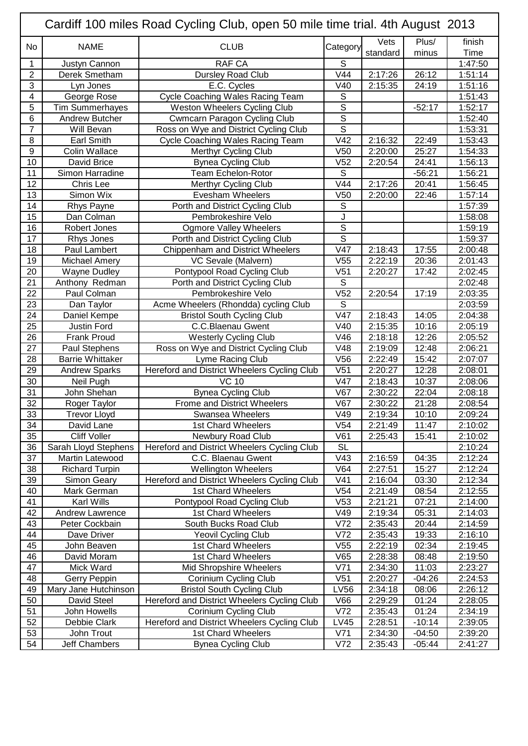| Cardiff 100 miles Road Cycling Club, open 50 mile time trial. 4th August 2013 |                            |                                             |                         |                    |                |                    |  |  |
|-------------------------------------------------------------------------------|----------------------------|---------------------------------------------|-------------------------|--------------------|----------------|--------------------|--|--|
| No                                                                            | <b>NAME</b>                | <b>CLUB</b>                                 | Category                | Vets               | Plus/          | finish             |  |  |
|                                                                               |                            |                                             |                         | standard           | minus          | Time               |  |  |
| 1                                                                             | Justyn Cannon              | <b>RAF CA</b>                               | S<br>V44                |                    |                | 1:47:50            |  |  |
| $\overline{2}$<br>3                                                           | Derek Smetham<br>Lyn Jones | Dursley Road Club<br>E.C. Cycles            | V40                     | 2:17:26<br>2:15:35 | 26:12<br>24:19 | 1:51:14<br>1:51:16 |  |  |
| 4                                                                             | George Rose                | <b>Cycle Coaching Wales Racing Team</b>     | $\mathsf S$             |                    |                | 1:51:43            |  |  |
| 5                                                                             | <b>Tim Summerhayes</b>     | Weston Wheelers Cycling Club                | $\mathbf S$             |                    | $-52:17$       | 1:52:17            |  |  |
| 6                                                                             | Andrew Butcher             | <b>Cwmcarn Paragon Cycling Club</b>         | $\mathsf S$             |                    |                | 1:52:40            |  |  |
| $\overline{7}$                                                                | Will Bevan                 | Ross on Wye and District Cycling Club       | $\overline{s}$          |                    |                | 1:53:31            |  |  |
| 8                                                                             | <b>Earl Smith</b>          | <b>Cycle Coaching Wales Racing Team</b>     | V42                     | 2:16:32            | 22:49          | 1:53:43            |  |  |
| $9\,$                                                                         | Colin Wallace              | <b>Merthyr Cycling Club</b>                 | V <sub>50</sub>         | 2:20:00            | 25:27          | 1:54:33            |  |  |
| 10                                                                            | David Brice                | <b>Bynea Cycling Club</b>                   | V <sub>52</sub>         | 2:20:54            | 24:41          | 1:56:13            |  |  |
| 11                                                                            | Simon Harradine            | Team Echelon-Rotor                          | $\overline{s}$          |                    | $-56:21$       | 1:56:21            |  |  |
| 12                                                                            | Chris Lee                  | <b>Merthyr Cycling Club</b>                 | V44                     | 2:17:26            | 20:41          | 1:56:45            |  |  |
| 13                                                                            | Simon Wix                  | <b>Evesham Wheelers</b>                     | V <sub>50</sub>         | 2:20:00            | 22:46          | 1:57:14            |  |  |
| 14                                                                            | Rhys Payne                 | Porth and District Cycling Club             | ${\mathsf S}$           |                    |                | 1:57:39            |  |  |
| 15                                                                            | Dan Colman                 | Pembrokeshire Velo                          | J                       |                    |                | 1:58:08            |  |  |
| 16                                                                            | Robert Jones               | <b>Ogmore Valley Wheelers</b>               | $\overline{\mathsf{s}}$ |                    |                | 1:59:19            |  |  |
| 17                                                                            | Rhys Jones                 | Porth and District Cycling Club             | $\overline{\mathsf{s}}$ |                    |                | 1:59:37            |  |  |
| 18                                                                            | Paul Lambert               | Chippenham and District Wheelers            | V47                     | 2:18:43            | 17:55          | 2:00:48            |  |  |
| 19                                                                            | <b>Michael Amery</b>       | VC Sevale (Malvern)                         | V <sub>55</sub>         | 2:22:19            | 20:36          | 2:01:43            |  |  |
| 20                                                                            | <b>Wayne Dudley</b>        | Pontypool Road Cycling Club                 | V <sub>51</sub>         | 2:20:27            | 17:42          | 2:02:45            |  |  |
| 21                                                                            | Anthony Redman             | Porth and District Cycling Club             | $\overline{s}$          |                    |                | 2:02:48            |  |  |
| 22                                                                            | Paul Colman                | Pembrokeshire Velo                          | V <sub>52</sub>         | 2:20:54            | 17:19          | 2:03:35            |  |  |
| $\overline{23}$                                                               | Dan Taylor                 | Acme Wheelers (Rhondda) cycling Club        | $\overline{s}$          |                    |                | 2:03:59            |  |  |
| 24                                                                            | Daniel Kempe               | <b>Bristol South Cycling Club</b>           | V47                     | 2:18:43            | 14:05          | 2:04:38            |  |  |
| 25                                                                            | Justin Ford                | C.C.Blaenau Gwent                           | V40                     | 2:15:35            | 10:16          | 2:05:19            |  |  |
| 26                                                                            | <b>Frank Proud</b>         | <b>Westerly Cycling Club</b>                | V46                     | 2:18:18            | 12:26          | 2:05:52            |  |  |
| 27                                                                            | Paul Stephens              | Ross on Wye and District Cycling Club       | V48                     | 2:19:09            | 12:48          | 2:06:21            |  |  |
| 28                                                                            | <b>Barrie Whittaker</b>    | Lyme Racing Club                            | V56                     | 2:22:49            | 15:42          | 2:07:07            |  |  |
| 29                                                                            | <b>Andrew Sparks</b>       | Hereford and District Wheelers Cycling Club | V <sub>51</sub>         | 2:20:27            | 12:28          | 2:08:01            |  |  |
| 30                                                                            | Neil Pugh                  | <b>VC 10</b>                                | V47                     | 2:18:43            | 10:37          | 2:08:06            |  |  |
| 31                                                                            | John Shehan                | <b>Bynea Cycling Club</b>                   | V67                     | 2:30:22            | 22:04          | 2:08:18            |  |  |
| 32                                                                            | Roger Taylor               | <b>Frome and District Wheelers</b>          | V67                     | 2:30:22            | 21:28          | 2:08:54            |  |  |
| 33                                                                            | Trevor Lloyd               | <b>Swansea Wheelers</b>                     | V49                     | 2:19:34            | 10:10          | 2:09:24            |  |  |
| 34                                                                            | David Lane                 | 1st Chard Wheelers                          | V <sub>54</sub>         | 2:21:49            | 11:47          | 2:10:02            |  |  |
| 35                                                                            | <b>Cliff Voller</b>        | Newbury Road Club                           | V61                     | 2:25:43            | 15:41          | 2:10:02            |  |  |
| 36                                                                            | Sarah Lloyd Stephens       | Hereford and District Wheelers Cycling Club | <b>SL</b>               |                    |                | 2:10:24            |  |  |
| 37                                                                            | Martin Latewood            | C.C. Blaenau Gwent                          | V43                     | 2:16:59            | 04:35          | 2:12:24            |  |  |
| 38                                                                            | <b>Richard Turpin</b>      | <b>Wellington Wheelers</b>                  | V64                     | 2:27:51            | 15:27          | 2:12:24            |  |  |
| 39                                                                            | Simon Geary                | Hereford and District Wheelers Cycling Club | V <sub>41</sub>         | 2:16:04            | 03:30          | 2:12:34            |  |  |
| 40                                                                            | Mark German                | 1st Chard Wheelers                          | V <sub>54</sub>         | 2:21:49            | 08:54          | 2:12:55            |  |  |
| 41                                                                            | Karl Wills                 | Pontypool Road Cycling Club                 | V53                     | 2:21:21            | 07:21          | 2:14:00            |  |  |
| 42                                                                            | Andrew Lawrence            | 1st Chard Wheelers                          | V49                     | 2:19:34            | 05:31          | 2:14:03            |  |  |
| 43                                                                            | Peter Cockbain             | South Bucks Road Club                       | V72                     | 2:35:43            | 20:44          | 2:14:59            |  |  |
| 44                                                                            | Dave Driver                | <b>Yeovil Cycling Club</b>                  | V72                     | 2:35:43            | 19:33          | 2:16:10            |  |  |
| 45                                                                            | John Beaven                | 1st Chard Wheelers                          | V <sub>55</sub>         | 2:22:19            | 02:34          | 2:19:45            |  |  |
| 46                                                                            | David Moram                | 1st Chard Wheelers                          | V65                     | 2:28:38            | 08:48          | 2:19:50            |  |  |
| 47                                                                            | Mick Ward                  | Mid Shropshire Wheelers                     | V71                     | 2:34:30            | 11:03          | 2:23:27            |  |  |
| 48                                                                            | Gerry Peppin               | Corinium Cycling Club                       | V <sub>51</sub>         | 2:20:27            | $-04:26$       | 2:24:53            |  |  |
| 49                                                                            | Mary Jane Hutchinson       | <b>Bristol South Cycling Club</b>           | <b>LV56</b>             | 2:34:18            | 08:06          | 2:26:12            |  |  |
| 50                                                                            | David Steel                | Hereford and District Wheelers Cycling Club | V66                     | 2:29:29            | 01:24          | 2:28:05            |  |  |
| 51                                                                            | John Howells               | Corinium Cycling Club                       | V72                     | 2:35:43            | 01:24          | 2:34:19            |  |  |
| 52                                                                            | Debbie Clark               | Hereford and District Wheelers Cycling Club | <b>LV45</b>             | 2:28:51            | $-10:14$       | 2:39:05            |  |  |
| 53                                                                            | John Trout                 | 1st Chard Wheelers                          | V71                     | 2:34:30            | $-04:50$       | 2:39:20            |  |  |
| 54                                                                            | Jeff Chambers              | Bynea Cycling Club                          | V72                     | 2:35:43            | $-05:44$       | 2:41:27            |  |  |